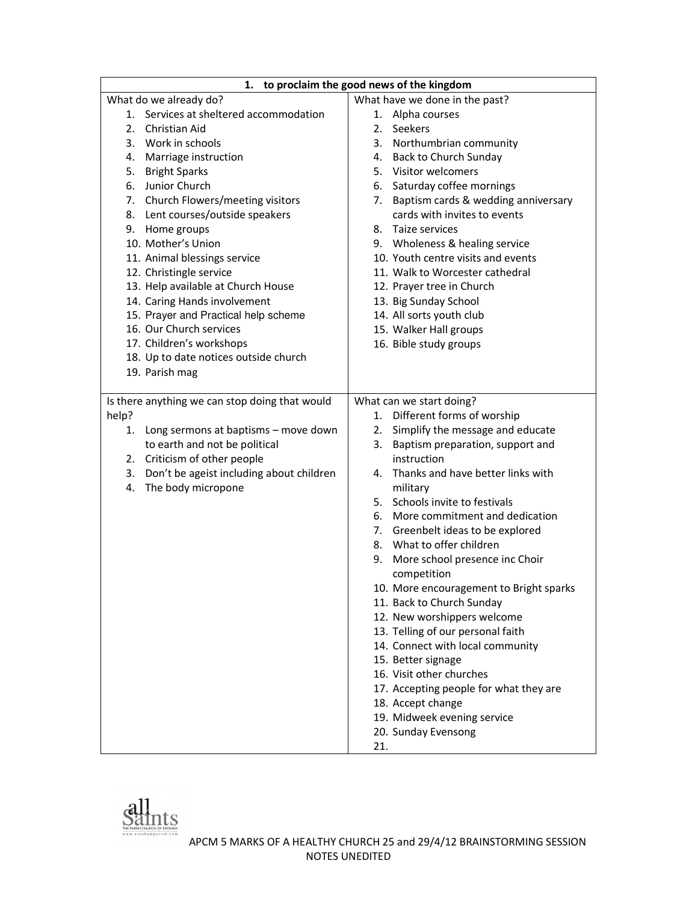| to proclaim the good news of the kingdom<br>1.                          |                                                     |
|-------------------------------------------------------------------------|-----------------------------------------------------|
| What do we already do?                                                  | What have we done in the past?                      |
| Services at sheltered accommodation<br>1.                               | 1. Alpha courses                                    |
| 2. Christian Aid                                                        | 2. Seekers                                          |
| 3. Work in schools                                                      | 3. Northumbrian community                           |
| 4. Marriage instruction                                                 | 4. Back to Church Sunday                            |
| 5. Bright Sparks                                                        | 5. Visitor welcomers                                |
| 6. Junior Church                                                        | 6. Saturday coffee mornings                         |
| 7. Church Flowers/meeting visitors                                      | 7. Baptism cards & wedding anniversary              |
| 8. Lent courses/outside speakers                                        | cards with invites to events                        |
| 9. Home groups                                                          | 8. Taize services                                   |
| 10. Mother's Union                                                      | 9. Wholeness & healing service                      |
| 11. Animal blessings service                                            | 10. Youth centre visits and events                  |
| 12. Christingle service                                                 | 11. Walk to Worcester cathedral                     |
| 13. Help available at Church House                                      | 12. Prayer tree in Church                           |
| 14. Caring Hands involvement                                            | 13. Big Sunday School                               |
| 15. Prayer and Practical help scheme                                    | 14. All sorts youth club                            |
| 16. Our Church services                                                 | 15. Walker Hall groups                              |
| 17. Children's workshops                                                | 16. Bible study groups                              |
| 18. Up to date notices outside church                                   |                                                     |
| 19. Parish mag                                                          |                                                     |
|                                                                         |                                                     |
| Is there anything we can stop doing that would                          | What can we start doing?                            |
| help?                                                                   | 1. Different forms of worship                       |
| 1. Long sermons at baptisms - move down                                 | 2. Simplify the message and educate                 |
| to earth and not be political                                           | 3. Baptism preparation, support and                 |
| 2. Criticism of other people                                            | instruction                                         |
| 3. Don't be ageist including about children<br>The body micropone<br>4. | Thanks and have better links with<br>4.<br>military |
|                                                                         | 5. Schools invite to festivals                      |
|                                                                         | More commitment and dedication<br>6.                |
|                                                                         | 7. Greenbelt ideas to be explored                   |
|                                                                         | 8. What to offer children                           |
|                                                                         | 9. More school presence inc Choir                   |
|                                                                         | competition                                         |
|                                                                         | 10. More encouragement to Bright sparks             |
|                                                                         | 11. Back to Church Sunday                           |
|                                                                         | 12. New worshippers welcome                         |
|                                                                         | 13. Telling of our personal faith                   |
|                                                                         | 14. Connect with local community                    |
|                                                                         | 15. Better signage                                  |
|                                                                         | 16. Visit other churches                            |
|                                                                         | 17. Accepting people for what they are              |
|                                                                         | 18. Accept change                                   |
|                                                                         | 19. Midweek evening service                         |
|                                                                         | 20. Sunday Evensong                                 |
|                                                                         | 21.                                                 |

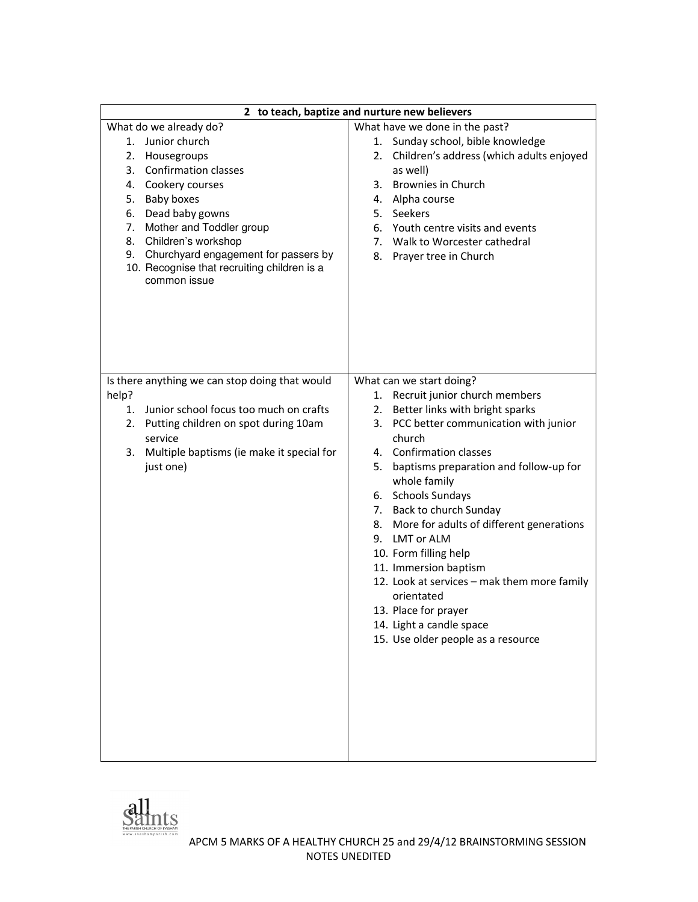|                                                             | 2 to teach, baptize and nurture new believers                       |
|-------------------------------------------------------------|---------------------------------------------------------------------|
| What do we already do?<br>1. Junior church                  | What have we done in the past?<br>1. Sunday school, bible knowledge |
| 2. Housegroups                                              | Children's address (which adults enjoyed<br>2.                      |
| 3. Confirmation classes                                     | as well)                                                            |
| 4. Cookery courses                                          | <b>Brownies in Church</b><br>3.                                     |
| 5. Baby boxes                                               | Alpha course<br>4.                                                  |
| Dead baby gowns<br>6.                                       | 5. Seekers                                                          |
| Mother and Toddler group<br>7.                              | 6. Youth centre visits and events                                   |
| 8. Children's workshop                                      | Walk to Worcester cathedral<br>7.                                   |
| 9. Churchyard engagement for passers by                     | 8.<br>Prayer tree in Church                                         |
| 10. Recognise that recruiting children is a<br>common issue |                                                                     |
|                                                             |                                                                     |
|                                                             |                                                                     |
|                                                             |                                                                     |
|                                                             |                                                                     |
|                                                             |                                                                     |
|                                                             |                                                                     |
| Is there anything we can stop doing that would              | What can we start doing?                                            |
| help?                                                       | Recruit junior church members<br>1.                                 |
| 1. Junior school focus too much on crafts                   | Better links with bright sparks<br>2.                               |
| 2. Putting children on spot during 10am                     | PCC better communication with junior<br>3.                          |
| service                                                     | church                                                              |
| Multiple baptisms (ie make it special for<br>3.             | 4. Confirmation classes                                             |
| just one)                                                   | baptisms preparation and follow-up for<br>5.                        |
|                                                             | whole family                                                        |
|                                                             | 6. Schools Sundays                                                  |
|                                                             | 7. Back to church Sunday                                            |
|                                                             | More for adults of different generations<br>8.                      |
|                                                             | 9. LMT or ALM                                                       |
|                                                             | 10. Form filling help                                               |
|                                                             | 11. Immersion baptism                                               |
|                                                             | 12. Look at services - mak them more family                         |
|                                                             | orientated                                                          |
|                                                             | 13. Place for prayer                                                |
|                                                             | 14. Light a candle space                                            |
|                                                             | 15. Use older people as a resource                                  |
|                                                             |                                                                     |
|                                                             |                                                                     |
|                                                             |                                                                     |
|                                                             |                                                                     |
|                                                             |                                                                     |
|                                                             |                                                                     |
|                                                             |                                                                     |
|                                                             |                                                                     |

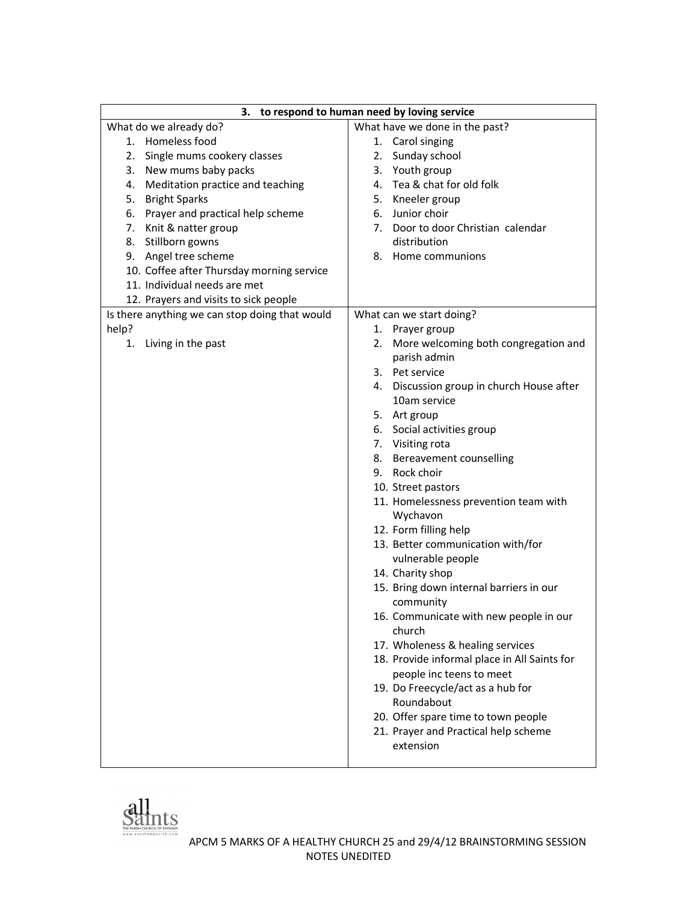| to respond to human need by loving service<br>з. |                                              |
|--------------------------------------------------|----------------------------------------------|
| What do we already do?                           | What have we done in the past?               |
| 1. Homeless food                                 | 1. Carol singing                             |
| Single mums cookery classes<br>2.                | Sunday school<br>2.                          |
| New mums baby packs<br>3.                        | Youth group<br>3.                            |
| Meditation practice and teaching<br>4.           | 4. Tea & chat for old folk                   |
| <b>Bright Sparks</b><br>5.                       | 5. Kneeler group                             |
| 6. Prayer and practical help scheme              | 6. Junior choir                              |
| 7. Knit & natter group                           | 7. Door to door Christian calendar           |
| 8. Stillborn gowns                               | distribution                                 |
| 9. Angel tree scheme                             | 8. Home communions                           |
| 10. Coffee after Thursday morning service        |                                              |
| 11. Individual needs are met                     |                                              |
| 12. Prayers and visits to sick people            |                                              |
| Is there anything we can stop doing that would   | What can we start doing?                     |
| help?                                            | 1. Prayer group                              |
| Living in the past<br>1.                         | More welcoming both congregation and<br>2.   |
|                                                  | parish admin                                 |
|                                                  | 3. Pet service                               |
|                                                  | 4. Discussion group in church House after    |
|                                                  | 10am service                                 |
|                                                  | 5. Art group                                 |
|                                                  | 6. Social activities group                   |
|                                                  | 7. Visiting rota                             |
|                                                  | 8. Bereavement counselling                   |
|                                                  | 9. Rock choir                                |
|                                                  | 10. Street pastors                           |
|                                                  | 11. Homelessness prevention team with        |
|                                                  | Wychavon                                     |
|                                                  | 12. Form filling help                        |
|                                                  | 13. Better communication with/for            |
|                                                  | vulnerable people                            |
|                                                  | 14. Charity shop                             |
|                                                  | 15. Bring down internal barriers in our      |
|                                                  | community                                    |
|                                                  | 16. Communicate with new people in our       |
|                                                  | church                                       |
|                                                  | 17. Wholeness & healing services             |
|                                                  | 18. Provide informal place in All Saints for |
|                                                  | people inc teens to meet                     |
|                                                  | 19. Do Freecycle/act as a hub for            |
|                                                  | Roundabout                                   |
|                                                  | 20. Offer spare time to town people          |
|                                                  | 21. Prayer and Practical help scheme         |
|                                                  | extension                                    |
|                                                  |                                              |

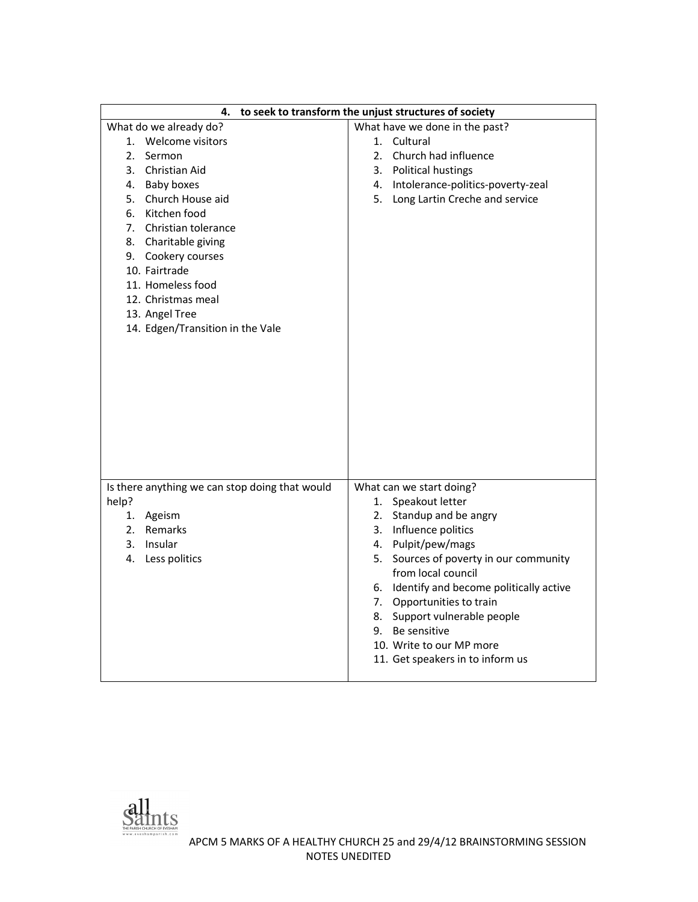| 4.                                             | to seek to transform the unjust structures of society |
|------------------------------------------------|-------------------------------------------------------|
| What do we already do?                         | What have we done in the past?                        |
| 1. Welcome visitors                            | 1. Cultural                                           |
| 2.<br>Sermon                                   | 2. Church had influence                               |
| 3. Christian Aid                               | 3. Political hustings                                 |
| 4. Baby boxes                                  | 4. Intolerance-politics-poverty-zeal                  |
| 5. Church House aid                            | 5. Long Lartin Creche and service                     |
| 6. Kitchen food                                |                                                       |
| 7. Christian tolerance                         |                                                       |
| 8. Charitable giving                           |                                                       |
| 9. Cookery courses                             |                                                       |
| 10. Fairtrade                                  |                                                       |
| 11. Homeless food                              |                                                       |
| 12. Christmas meal                             |                                                       |
| 13. Angel Tree                                 |                                                       |
| 14. Edgen/Transition in the Vale               |                                                       |
|                                                |                                                       |
|                                                |                                                       |
|                                                |                                                       |
|                                                |                                                       |
|                                                |                                                       |
|                                                |                                                       |
|                                                |                                                       |
|                                                |                                                       |
|                                                |                                                       |
|                                                |                                                       |
| Is there anything we can stop doing that would | What can we start doing?                              |
| help?                                          | 1. Speakout letter                                    |
| 1. Ageism                                      | 2. Standup and be angry                               |
| 2. Remarks                                     | 3. Influence politics                                 |
| 3. Insular                                     | 4. Pulpit/pew/mags                                    |
| 4. Less politics                               | 5. Sources of poverty in our community                |
|                                                | from local council                                    |
|                                                | 6. Identify and become politically active             |
|                                                | 7. Opportunities to train                             |
|                                                | 8. Support vulnerable people                          |
|                                                | 9. Be sensitive                                       |
|                                                | 10. Write to our MP more                              |
|                                                | 11. Get speakers in to inform us                      |
|                                                |                                                       |